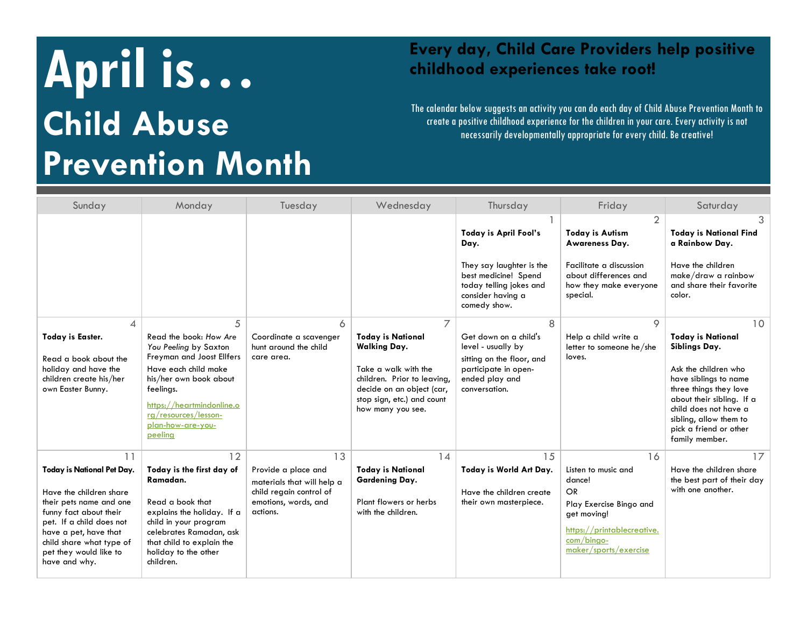## **April is. is a contract to the Every day, Child Care Providers help positive childhood experiences take root! Child Abuse Prevention Month**

## **childhood experiences take root!**

The calendar below suggests an activity you can do each day of Child Abuse Prevention Month to create a positive childhood experience for the children in your care. Every activity is not necessarily developmentally appropriate for every child. Be creative!

| Sunday                                                                                                                                                                                                                                       | Monday                                                                                                                                                                                                                                | Tuesday                                                                                                                | Wednesday                                                                                                                                                                                                | Thursday                                                                                                                                          | Friday                                                                                                                                                            | Saturday                                                                                                                                                                                                                                               |
|----------------------------------------------------------------------------------------------------------------------------------------------------------------------------------------------------------------------------------------------|---------------------------------------------------------------------------------------------------------------------------------------------------------------------------------------------------------------------------------------|------------------------------------------------------------------------------------------------------------------------|----------------------------------------------------------------------------------------------------------------------------------------------------------------------------------------------------------|---------------------------------------------------------------------------------------------------------------------------------------------------|-------------------------------------------------------------------------------------------------------------------------------------------------------------------|--------------------------------------------------------------------------------------------------------------------------------------------------------------------------------------------------------------------------------------------------------|
|                                                                                                                                                                                                                                              |                                                                                                                                                                                                                                       |                                                                                                                        |                                                                                                                                                                                                          | Today is April Fool's<br>Day.<br>They say laughter is the<br>best medicine! Spend<br>today telling jokes and<br>consider having a<br>comedy show. | $\overline{2}$<br><b>Today is Autism</b><br>Awareness Day.<br>Facilitate a discussion<br>about differences and<br>how they make everyone<br>special.              | <b>Today is National Find</b><br>a Rainbow Day.<br>Have the children<br>make/draw a rainbow<br>and share their favorite<br>color.                                                                                                                      |
| 4<br><b>Today is Easter.</b><br>Read a book about the<br>holiday and have the<br>children create his/her<br>own Easter Bunny.                                                                                                                | 5<br>Read the book: How Are<br>You Peeling by Saxton<br>Freyman and Joost Ellfers<br>Have each child make<br>his/her own book about<br>feelings.<br>https://heartmindonline.o<br>rg/resources/lesson-<br>plan-how-are-you-<br>peeling | 6<br>Coordinate a scavenger<br>hunt around the child<br>care area.                                                     | $\overline{7}$<br><b>Today is National</b><br><b>Walking Day.</b><br>Take a walk with the<br>children. Prior to leaving,<br>decide on an object (car,<br>stop sign, etc.) and count<br>how many you see. | 8<br>Get down on a child's<br>level - usually by<br>sitting on the floor, and<br>participate in open-<br>ended play and<br>conversation.          | 9<br>Help a child write a<br>letter to someone he/she<br>loves.                                                                                                   | 10<br><b>Today is National</b><br>Siblings Day.<br>Ask the children who<br>have siblings to name<br>three things they love<br>about their sibling. If a<br>child does not have a<br>sibling, allow them to<br>pick a friend or other<br>family member. |
| 11<br>Today is National Pet Day.<br>Have the children share<br>their pets name and one<br>funny fact about their<br>pet. If a child does not<br>have a pet, have that<br>child share what type of<br>pet they would like to<br>have and why. | 12<br>Today is the first day of<br>Ramadan.<br>Read a book that<br>explains the holiday. If a<br>child in your program<br>celebrates Ramadan, ask<br>that child to explain the<br>holiday to the other<br>children.                   | 13<br>Provide a place and<br>materials that will help a<br>child regain control of<br>emotions, words, and<br>actions. | 14<br><b>Today is National</b><br><b>Gardening Day.</b><br>Plant flowers or herbs<br>with the children.                                                                                                  | 15<br>Today is World Art Day.<br>Have the children create<br>their own masterpiece.                                                               | 16<br>Listen to music and<br>dance!<br><b>OR</b><br>Play Exercise Bingo and<br>get moving!<br>https://printablecreative.<br>$com/binao-$<br>maker/sports/exercise | 17<br>Have the children share<br>the best part of their day<br>with one another.                                                                                                                                                                       |